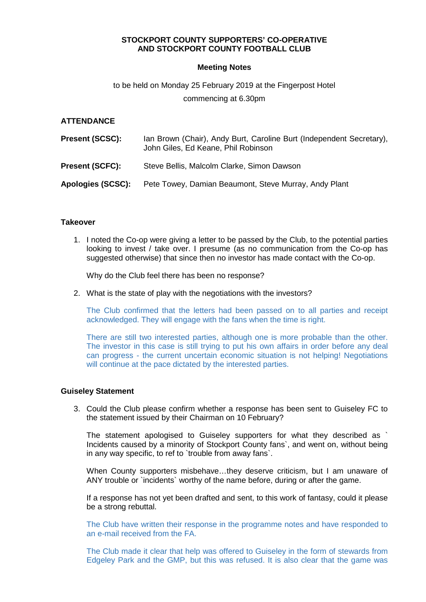## **STOCKPORT COUNTY SUPPORTERS' CO-OPERATIVE AND STOCKPORT COUNTY FOOTBALL CLUB**

## **Meeting Notes**

# to be held on Monday 25 February 2019 at the Fingerpost Hotel commencing at 6.30pm

## **ATTENDANCE**

| <b>Present (SCSC):</b> | Ian Brown (Chair), Andy Burt, Caroline Burt (Independent Secretary),<br>John Giles, Ed Keane, Phil Robinson |
|------------------------|-------------------------------------------------------------------------------------------------------------|
| <b>Present (SCFC):</b> | Steve Bellis, Malcolm Clarke, Simon Dawson                                                                  |
| Apologies (SCSC):      | Pete Towey, Damian Beaumont, Steve Murray, Andy Plant                                                       |

## **Takeover**

1. I noted the Co-op were giving a letter to be passed by the Club, to the potential parties looking to invest / take over. I presume (as no communication from the Co-op has suggested otherwise) that since then no investor has made contact with the Co-op.

Why do the Club feel there has been no response?

2. What is the state of play with the negotiations with the investors?

The Club confirmed that the letters had been passed on to all parties and receipt acknowledged. They will engage with the fans when the time is right.

There are still two interested parties, although one is more probable than the other. The investor in this case is still trying to put his own affairs in order before any deal can progress - the current uncertain economic situation is not helping! Negotiations will continue at the pace dictated by the interested parties.

#### **Guiseley Statement**

3. Could the Club please confirm whether a response has been sent to Guiseley FC to the statement issued by their Chairman on 10 February?

The statement apologised to Guiseley supporters for what they described as ` Incidents caused by a minority of Stockport County fans`, and went on, without being in any way specific, to ref to `trouble from away fans`.

When County supporters misbehave...they deserve criticism, but I am unaware of ANY trouble or `incidents` worthy of the name before, during or after the game.

If a response has not yet been drafted and sent, to this work of fantasy, could it please be a strong rebuttal.

The Club have written their response in the programme notes and have responded to an e-mail received from the FA.

The Club made it clear that help was offered to Guiseley in the form of stewards from Edgeley Park and the GMP, but this was refused. It is also clear that the game was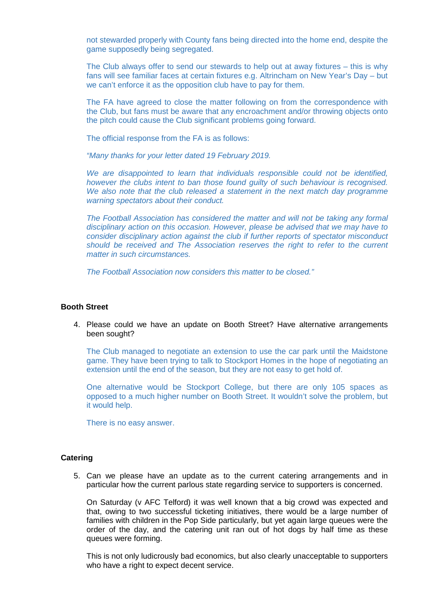not stewarded properly with County fans being directed into the home end, despite the game supposedly being segregated.

The Club always offer to send our stewards to help out at away fixtures – this is why fans will see familiar faces at certain fixtures e.g. Altrincham on New Year's Day – but we can't enforce it as the opposition club have to pay for them.

The FA have agreed to close the matter following on from the correspondence with the Club, but fans must be aware that any encroachment and/or throwing objects onto the pitch could cause the Club significant problems going forward.

The official response from the FA is as follows:

"Many thanks for your letter dated 19 February 2019.

We are disappointed to learn that individuals responsible could not be identified, however the clubs intent to ban those found guilty of such behaviour is recognised. We also note that the club released a statement in the next match day programme warning spectators about their conduct.

The Football Association has considered the matter and will not be taking any formal disciplinary action on this occasion. However, please be advised that we may have to consider disciplinary action against the club if further reports of spectator misconduct should be received and The Association reserves the right to refer to the current matter in such circumstances.

The Football Association now considers this matter to be closed."

#### **Booth Street**

4. Please could we have an update on Booth Street? Have alternative arrangements been sought?

The Club managed to negotiate an extension to use the car park until the Maidstone game. They have been trying to talk to Stockport Homes in the hope of negotiating an extension until the end of the season, but they are not easy to get hold of.

One alternative would be Stockport College, but there are only 105 spaces as opposed to a much higher number on Booth Street. It wouldn't solve the problem, but it would help.

There is no easy answer.

## **Catering**

5. Can we please have an update as to the current catering arrangements and in particular how the current parlous state regarding service to supporters is concerned.

On Saturday (v AFC Telford) it was well known that a big crowd was expected and that, owing to two successful ticketing initiatives, there would be a large number of families with children in the Pop Side particularly, but yet again large queues were the order of the day, and the catering unit ran out of hot dogs by half time as these queues were forming.

This is not only ludicrously bad economics, but also clearly unacceptable to supporters who have a right to expect decent service.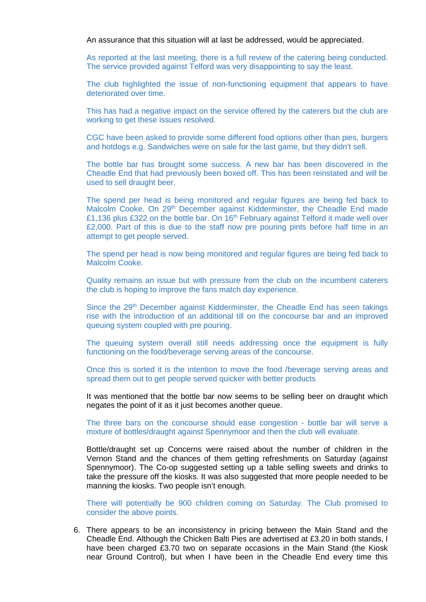An assurance that this situation will at last be addressed, would be appreciated.

As reported at the last meeting, there is a full review of the catering being conducted. The service provided against Telford was very disappointing to say the least.

The club highlighted the issue of non-functioning equipment that appears to have deteriorated over time.

This has had a negative impact on the service offered by the caterers but the club are working to get these issues resolved.

CGC have been asked to provide some different food options other than pies, burgers and hotdogs e.g. Sandwiches were on sale for the last game, but they didn't sell.

The bottle bar has brought some success. A new bar has been discovered in the Cheadle End that had previously been boxed off. This has been reinstated and will be used to sell draught beer.

The spend per head is being monitored and regular figures are being fed back to Malcolm Cooke. On 29<sup>th</sup> December against Kidderminster, the Cheadle End made £1,136 plus £322 on the bottle bar. On 16<sup>th</sup> February against Telford it made well over £2,000. Part of this is due to the staff now pre pouring pints before half time in an attempt to get people served.

The spend per head is now being monitored and regular figures are being fed back to Malcolm Cooke.

Quality remains an issue but with pressure from the club on the incumbent caterers the club is hoping to improve the fans match day experience.

Since the 29<sup>th</sup> December against Kidderminster, the Cheadle End has seen takings rise with the introduction of an additional till on the concourse bar and an improved queuing system coupled with pre pouring.

The queuing system overall still needs addressing once the equipment is fully functioning on the food/beverage serving areas of the concourse.

Once this is sorted it is the intention to move the food /beverage serving areas and spread them out to get people served quicker with better products

It was mentioned that the bottle bar now seems to be selling beer on draught which negates the point of it as it just becomes another queue.

The three bars on the concourse should ease congestion - bottle bar will serve a mixture of bottles/draught against Spennymoor and then the club will evaluate.

Bottle/draught set up Concerns were raised about the number of children in the Vernon Stand and the chances of them getting refreshments on Saturday (against Spennymoor). The Co-op suggested setting up a table selling sweets and drinks to take the pressure off the kiosks. It was also suggested that more people needed to be manning the kiosks. Two people isn't enough.

There will potentially be 900 children coming on Saturday. The Club promised to consider the above points.

6. There appears to be an inconsistency in pricing between the Main Stand and the Cheadle End. Although the Chicken Balti Pies are advertised at £3.20 in both stands, I have been charged £3.70 two on separate occasions in the Main Stand (the Kiosk near Ground Control), but when I have been in the Cheadle End every time this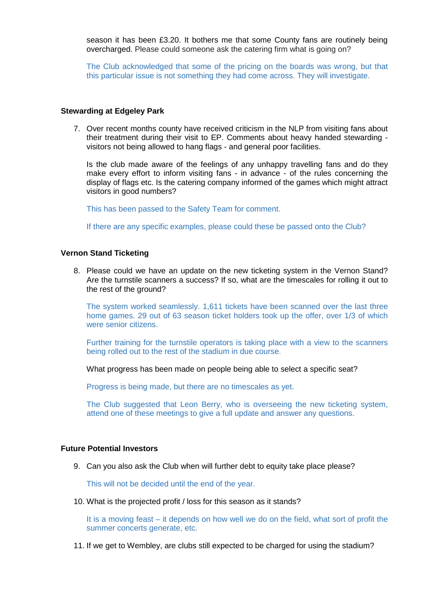season it has been £3.20. It bothers me that some County fans are routinely being overcharged. Please could someone ask the catering firm what is going on?

The Club acknowledged that some of the pricing on the boards was wrong, but that this particular issue is not something they had come across. They will investigate.

#### **Stewarding at Edgeley Park**

7. Over recent months county have received criticism in the NLP from visiting fans about their treatment during their visit to EP. Comments about heavy handed stewarding visitors not being allowed to hang flags - and general poor facilities.

Is the club made aware of the feelings of any unhappy travelling fans and do they make every effort to inform visiting fans - in advance - of the rules concerning the display of flags etc. Is the catering company informed of the games which might attract visitors in good numbers?

This has been passed to the Safety Team for comment.

If there are any specific examples, please could these be passed onto the Club?

#### **Vernon Stand Ticketing**

8. Please could we have an update on the new ticketing system in the Vernon Stand? Are the turnstile scanners a success? If so, what are the timescales for rolling it out to the rest of the ground?

The system worked seamlessly. 1,611 tickets have been scanned over the last three home games. 29 out of 63 season ticket holders took up the offer, over 1/3 of which were senior citizens.

Further training for the turnstile operators is taking place with a view to the scanners being rolled out to the rest of the stadium in due course.

What progress has been made on people being able to select a specific seat?

Progress is being made, but there are no timescales as yet.

The Club suggested that Leon Berry, who is overseeing the new ticketing system, attend one of these meetings to give a full update and answer any questions.

#### **Future Potential Investors**

9. Can you also ask the Club when will further debt to equity take place please?

This will not be decided until the end of the year.

10. What is the projected profit / loss for this season as it stands?

It is a moving feast – it depends on how well we do on the field, what sort of profit the summer concerts generate, etc.

11. If we get to Wembley, are clubs still expected to be charged for using the stadium?